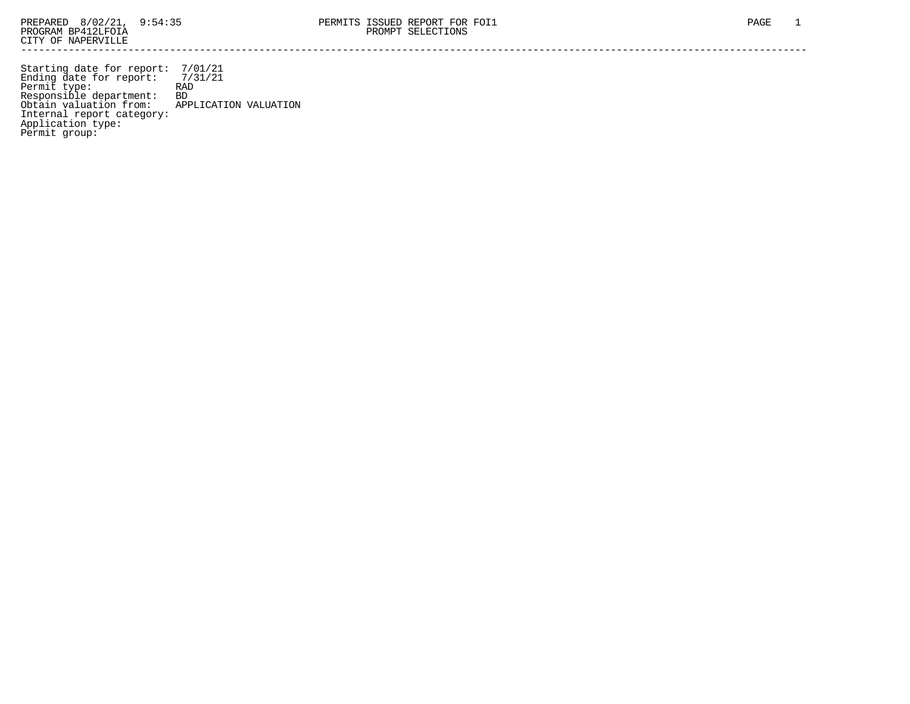Starting date for report: 7/01/21 Ending date for report: 7/31/21 Permit type: RAD Responsible department: BD Obtain valuation from: APPLICATION VALUATION Internal report category: Application type: Permit group: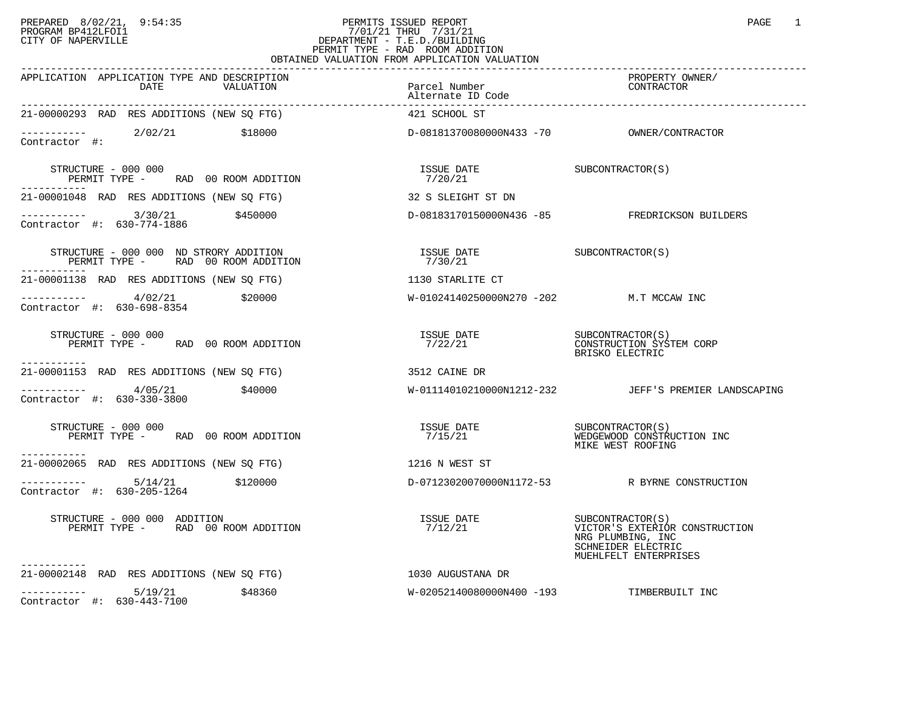## PREPARED 8/02/21, 9:54:35 PERMITS ISSUED REPORT<br>PROGRAM BP412LFOI1 PAGE 1 PROGRAM BP412LFOI1 7/01/21 THRU 7/31/21 CITY OF NAPERVILLE **Example 20** CITY OF NAPERVILLE PERMIT TYPE - RAD ROOM ADDITION OBTAINED VALUATION FROM APPLICATION VALUATION

| APPLICATION APPLICATION TYPE AND DESCRIPTION<br>DATE<br>VALUATION                            | Parcel Number<br>Alternate ID Code        | PROPERTY OWNER/<br>CONTRACTOR                                                                                           |
|----------------------------------------------------------------------------------------------|-------------------------------------------|-------------------------------------------------------------------------------------------------------------------------|
| 21-00000293 RAD RES ADDITIONS (NEW SO FTG)                                                   | 421 SCHOOL ST                             |                                                                                                                         |
| ----------- 2/02/21 \$18000<br>Contractor #:                                                 |                                           |                                                                                                                         |
| STRUCTURE - 000 000<br>PERMIT TYPE - RAD 00 ROOM ADDITION                                    | ISSUE DATE SUBCONTRACTOR(S)<br>7/20/21    |                                                                                                                         |
| 21-00001048 RAD RES ADDITIONS (NEW SQ FTG)                                                   | 32 S SLEIGHT ST DN                        |                                                                                                                         |
| $\frac{1}{2}$ ----------- 3/30/21 \$450000<br>Contractor #: 630-774-1886                     |                                           | D-08183170150000N436 -85 FREDRICKSON BUILDERS                                                                           |
| STRUCTURE - 000 000 ND STRORY ADDITION<br>PERMIT TYPE - RAD 00 ROOM ADDITION<br>------------ | ISSUE DATE SUBCONTRACTOR(S)               |                                                                                                                         |
| 21-00001138 RAD RES ADDITIONS (NEW SO FTG)                                                   | 1130 STARLITE CT                          |                                                                                                                         |
| $\frac{4}{02/21}$ \$20000<br>Contractor #: 630-698-8354                                      | W-01024140250000N270 -202 M.T MCCAW INC   |                                                                                                                         |
| STRUCTURE - 000 000<br>PERMIT TYPE - RAD 00 ROOM ADDITION                                    | ISSUE DATE<br>7/22/21                     | SUBCONTRACTOR(S)<br>CONSTRUCTION SYSTEM CORP<br>BRISKO ELECTRIC                                                         |
| -----------<br>21-00001153 RAD RES ADDITIONS (NEW SQ FTG) 3512 CAINE DR                      |                                           |                                                                                                                         |
| $\frac{4}{05/21}$ \$40000<br>Contractor #: 630-330-3800                                      |                                           | W-01114010210000N1212-232 JEFF'S PREMIER LANDSCAPING                                                                    |
| STRUCTURE - 000 000<br>PERMIT TYPE - RAD 00 ROOM ADDITION                                    |                                           | MIKE WEST ROOFING                                                                                                       |
| -----------<br>21-00002065 RAD RES ADDITIONS (NEW SQ FTG)                                    | 1216 N WEST ST                            |                                                                                                                         |
| $-$ --------- $5/14/21$ \$120000<br>Contractor #: 630-205-1264                               |                                           | D-07123020070000N1172-53 R BYRNE CONSTRUCTION                                                                           |
| STRUCTURE - 000 000 ADDITION<br>PERMIT TYPE - RAD 00 ROOM ADDITION                           | ISSUE DATE<br>7/12/21                     | SUBCONTRACTOR (S)<br>VICTOR'S EXTERIOR CONSTRUCTION<br>NRG PLUMBING, INC<br>SCHNEIDER ELECTRIC<br>MUEHLFELT ENTERPRISES |
| -----------<br>21-00002148 RAD RES ADDITIONS (NEW SQ FTG)                                    | 1030 AUGUSTANA DR                         |                                                                                                                         |
| $--------$ 5/19/21<br>\$48360<br>Contractor #: 630-443-7100                                  | W-02052140080000N400 -193 TIMBERBUILT INC |                                                                                                                         |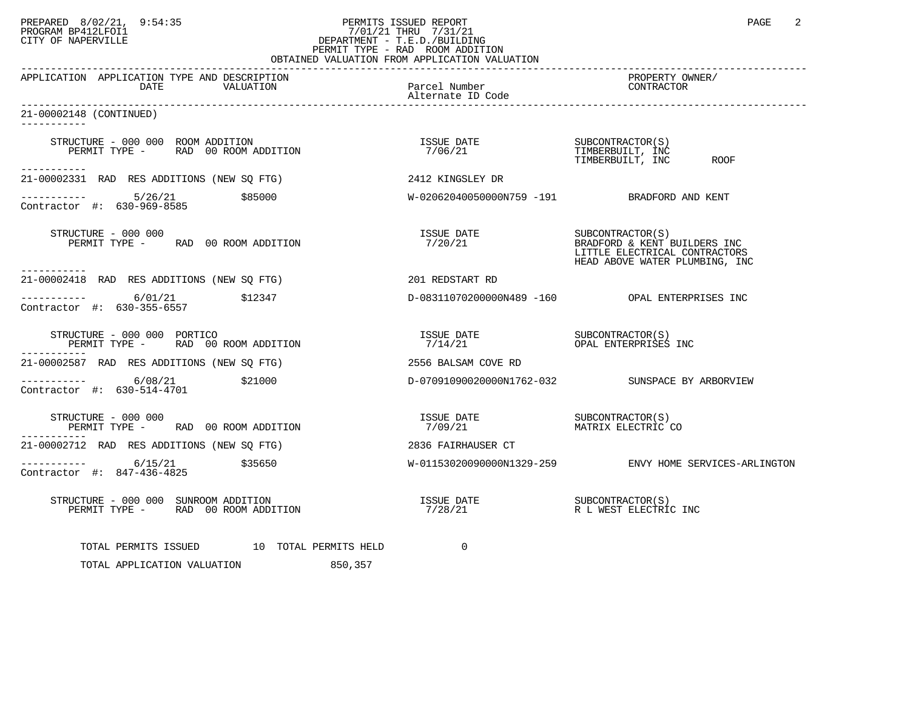## PREPARED 8/02/21, 9:54:35 PERMITS ISSUED REPORT<br>PROGRAM BP412LFOI1 79:54:35 PROGRAM PP412LFOI1 7/01/21 THRU 7/31/21<br>CITY OF NAPERVILLE PROGRAM BP412LFOI1 7/01/21 THRU 7/31/21 CITY OF NAPERVILLE **Example 20** CITY OF NAPERVILLE PERMIT TYPE - RAD ROOM ADDITION

| OBTAINED VALUATION FROM APPLICATION VALUATION                                                                      |                                    |                                                                                                                     |  |  |
|--------------------------------------------------------------------------------------------------------------------|------------------------------------|---------------------------------------------------------------------------------------------------------------------|--|--|
| APPLICATION APPLICATION TYPE AND DESCRIPTION<br>DATE<br>VALUATION                                                  | Parcel Number<br>Alternate ID Code | PROPERTY OWNER/<br>CONTRACTOR                                                                                       |  |  |
| 21-00002148 (CONTINUED)<br>----------                                                                              |                                    |                                                                                                                     |  |  |
| STRUCTURE - 000 000 ROOM ADDITION<br>PERMIT TYPE - RAD 00 ROOM ADDITION<br>-----------                             | ISSUE DATE<br>7/06/21              | SUBCONTRACTOR(S)<br>TIMBERBUILT, INC<br>ROOF<br>TIMBERBUILT, INC                                                    |  |  |
| 21-00002331 RAD RES ADDITIONS (NEW SO FTG)                                                                         | 2412 KINGSLEY DR                   |                                                                                                                     |  |  |
| $--------$ 5/26/21<br>\$85000<br>Contractor #: 630-969-8585                                                        |                                    | W-02062040050000N759 -191 BRADFORD AND KENT                                                                         |  |  |
| STRUCTURE - 000 000<br>PERMIT TYPE - RAD 00 ROOM ADDITION                                                          | ISSUE DATE<br>7/20/21              | SUBCONTRACTOR(S)<br>BRADFORD & KENT BUILDERS INC<br>LITTLE ELECTRICAL CONTRACTORS<br>HEAD ABOVE WATER PLUMBING, INC |  |  |
| ------------<br>21-00002418 RAD RES ADDITIONS (NEW SQ FTG)                                                         | 201 REDSTART RD                    |                                                                                                                     |  |  |
| $\frac{1}{2}$ = $\frac{1}{2}$ = $\frac{1}{2}$ = $\frac{6}{01/21}$ $\frac{512347}{0}$<br>Contractor #: 630-355-6557 |                                    | D-08311070200000N489 -160    QPAL ENTERPRISES INC                                                                   |  |  |
| STRUCTURE - 000 000 PORTICO<br>PERMIT TYPE - RAD 00 ROOM ADDITION                                                  |                                    |                                                                                                                     |  |  |
| 21-00002587 RAD RES ADDITIONS (NEW SQ FTG)                                                                         | 2556 BALSAM COVE RD                |                                                                                                                     |  |  |
| $---------$ 6/08/21 \$21000<br>Contractor #: 630-514-4701                                                          |                                    | D-07091090020000N1762-032 SUNSPACE BY ARBORVIEW                                                                     |  |  |
| STRUCTURE - 000 000<br>PERMIT TYPE - RAD 00 ROOM ADDITION                                                          |                                    |                                                                                                                     |  |  |
| 21-00002712 RAD RES ADDITIONS (NEW SQ FTG)                                                                         | 2836 FAIRHAUSER CT                 |                                                                                                                     |  |  |
| $--------$ 6/15/21<br>\$35650<br>Contractor #: 847-436-4825                                                        |                                    | W-01153020090000N1329-259 ENVY HOME SERVICES-ARLINGTON                                                              |  |  |
| STRUCTURE - 000 000 SUNROOM ADDITION<br>PERMIT TYPE - RAD 00 ROOM ADDITION                                         |                                    |                                                                                                                     |  |  |
| TOTAL PERMITS ISSUED 10 TOTAL PERMITS HELD<br>TOTAL APPLICATION VALUATION<br>850,357                               | 0                                  |                                                                                                                     |  |  |